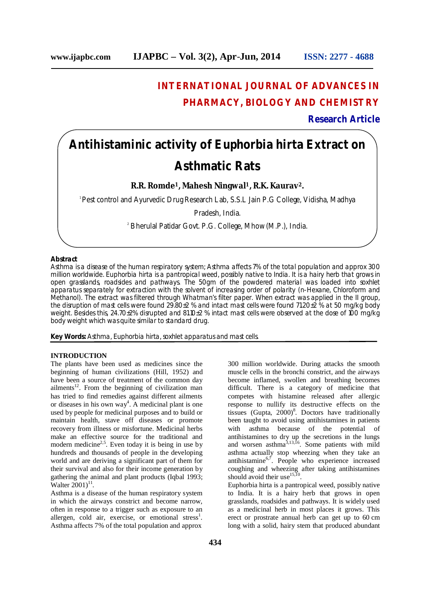# **INTERNATIONAL JOURNAL OF ADVANCES IN PHARMACY, BIOLOGY AND CHEMISTRY**

**Research Article**

# **Antihistaminic activity of Euphorbia hirta Extract on Asthmatic Rats**

**R.R. Romde1, Mahesh Ningwal1, R.K. Kaurav2.**

<sup>1</sup> Pest control and Ayurvedic Drug Research Lab, S.S.L Jain P.G College, Vidisha, Madhya

Pradesh, India.

<sup>2</sup> Bherulal Patidar Govt. P.G. College, Mhow (M.P.), India.

## **Abstract**

Asthma is a disease of the human respiratory system; Asthma affects 7% of the total population and approx 300 million worldwide. *Euphorbia hirta* is a pantropical weed, possibly native to India. It is a hairy herb that grows in open grasslands, roadsides and pathways. The 50gm of the powdered material was loaded into soxhlet apparatus separately for extraction with the solvent of increasing order of polarity (n-Hexane, Chloroform and Methanol). The extract was filtered through Whatman's filter paper. When extract was applied in the II group, the disruption of mast cells were found 29.80±2 % and intact mast cells were found 71.20±2 % at 50 mg/kg body weight. Besides this, 24.70±2% disrupted and 81.10±2 % intact mast cells were observed at the dose of 100 mg/kg body weight which was quite similar to standard drug.

**Key Words:** Asthma, *Euphorbia hirta,* soxhlet apparatus and mast cells.

#### **INTRODUCTION**

The plants have been used as medicines since the beginning of human civilizations (Hill, 1952) and have been a source of treatment of the common day ailments<sup>12</sup>. From the beginning of civilization man has tried to find remedies against different ailments or diseases in his own way<sup>4</sup>. A medicinal plant is one used by people for medicinal purposes and to build or maintain health, stave off diseases or promote recovery from illness or misfortune. Medicinal herbs make an effective source for the traditional and modern medicine<sup>2,5</sup>. Even today it is being in use by hundreds and thousands of people in the developing world and are deriving a significant part of them for their survival and also for their income generation by gathering the animal and plant products (Iqbal 1993; Walter  $2001$ <sup>11</sup>.

Asthma is a disease of the human respiratory system in which the airways constrict and become narrow, often in response to a trigger such as exposure to an allergen, cold air, exercise, or emotional stress<sup>1</sup>. Asthma affects 7% of the total population and approx

300 million worldwide. During attacks the smooth muscle cells in the bronchi constrict, and the airways become inflamed, swollen and breathing becomes difficult. There is a category of medicine that competes with histamine released after allergic response to nullify its destructive effects on the tissues (Gupta,  $2000$ <sup>8</sup>. Doctors have traditionally been taught to avoid using antihistamines in patients with asthma because of the potential of antihistamines to dry up the secretions in the lungs and worsen asthma $^{3,13,16}$ . Some patients with mild asthma actually stop wheezing when they take an antihistamine<sup>6,7</sup>. People who experience increased coughing and wheezing after taking antihistamines should avoid their use<sup>15,10</sup>.

Euphorbia hirta is a pantropical weed, possibly native to India. It is a hairy herb that grows in open grasslands, roadsides and pathways. It is widely used as a medicinal herb in most places it grows. This erect or prostrate annual herb can get up to 60 cm long with a solid, hairy stem that produced abundant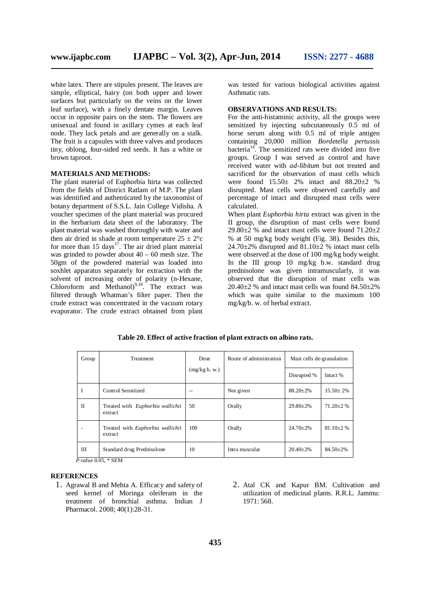white latex. There are stipules present. The leaves are simple, elliptical, hairy (on both upper and lower surfaces but particularly on the veins on the lower leaf surface), with a finely dentate margin. Leaves occur in opposite pairs on the stem. The flowers are unisexual and found in axillary cymes at each leaf node. They lack petals and are generally on a stalk. The fruit is a capsules with three valves and produces tiny, oblong, four-sided red seeds. It has a white or brown taproot.

#### **MATERIALS AND METHODS:**

The plant material of Euphorbia hirta was collected from the fields of District Ratlam of M.P. The plant was identified and authenticated by the taxonomist of botany department of S.S.L. Jain College Vidisha. A voucher specimen of the plant material was procured in the herbarium data sheet of the laboratory. The plant material was washed thoroughly with water and then air dried in shade at room temperature  $25 \pm 2^{\circ}c$ for more than  $15 \text{ days}^{17}$ . The air dried plant material was grinded to powder about  $40 - 60$  mesh size. The 50gm of the powdered material was loaded into soxhlet apparatus separately for extraction with the solvent of increasing order of polarity (n-Hexane, Chloroform and Methanol)<sup>9,18</sup>. The extract was filtered through Whatman's filter paper. Then the crude extract was concentrated in the vacuum rotary evaporator. The crude extract obtained from plant

was tested for various biological activities against Asthmatic rats.

## **OBSERVATIONS AND RESULTS:**

For the anti-histaminic activity, all the groups were sensitized by injecting subcutaneously 0.5 ml of horse serum along with 0.5 ml of triple antigen containing 20,000 million *Bordetella pertussis*  bacteria<sup>14</sup>. The sensitized rats were divided into five groups. Group I was served as control and have received water with *ad-libitum* but not treated and sacrificed for the observation of mast cells which were found  $15.50 \pm 2\%$  intact and  $88.20 \pm 2\%$ disrupted. Mast cells were observed carefully and percentage of intact and disrupted mast cells were calculated.

When plant *Euphorbia hirta* extract was given in the II group, the disruption of mast cells were found  $29.80\pm2$  % and intact mast cells were found  $71.20\pm2$ % at 50 mg/kg body weight (Fig. 38). Besides this,  $24.70\pm2\%$  disrupted and  $81.10\pm2\%$  intact mast cells were observed at the dose of 100 mg/kg body weight. In the III group 10 mg/kg b.w. standard drug prednisolone was given intramuscularly, it was observed that the disruption of mast cells was  $20.40\pm2$  % and intact mast cells was found  $84.50\pm2\%$ which was quite similar to the maximum 100 mg/kg/b. w. of herbal extract.

| Group                          | Treatment                                          | Dose          | Route of administration | Mast cells de-granulation |                  |
|--------------------------------|----------------------------------------------------|---------------|-------------------------|---------------------------|------------------|
|                                |                                                    | (mg/kg b. w.) |                         | Disrupted %               | Intact %         |
| I                              | Control Sensitized                                 | $-$           | Not given               | $88.20 \pm 2\%$           | $15.50 \pm 2\%$  |
| $_{\rm II}$                    | Treated with Euphorbia wallichii<br>extract        | 50            | Orally                  | $29.80 \pm 2\%$           | $71.20 \pm 2$ %  |
|                                | Treated with <i>Euphorbia wallichii</i><br>extract | 100           | Orally                  | $24.70 \pm 2\%$           | $81.10 \pm 2 \%$ |
| Ш<br>$\mathbf{r}$ $\mathbf{r}$ | Standard drug Prednisolone<br>$0.05 \pm 0.021$     | 10            | Intra muscular          | $20.40 \pm 2\%$           | $84.50 \pm 2\%$  |

*P value* 0.05, \* SEM

#### **REFERENCES**

- 1. Agrawal B and Mehta A. Efficacy and safety of seed kernel of Moringa oleiferam in the treatment of bronchial asthma. Indian J Pharmacol. 2008; 40(1):28-31.
- 2. Atal CK and Kapur BM. Cultivation and utilization of medicinal plants. R.R.L. Jammu: 1971: 568.